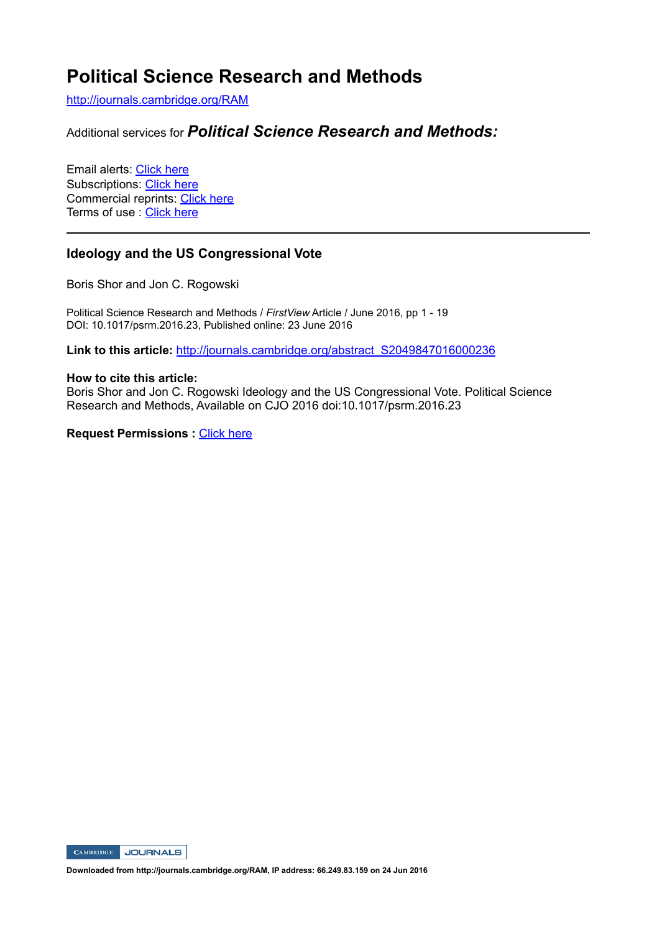# **Political Science Research and Methods**

http://journals.cambridge.org/RAM

# Additional services for *Political Science Research and Methods:*

Email alerts: Click here Subscriptions: Click here Commercial reprints: Click here Terms of use : Click here

# **Ideology and the US Congressional Vote**

Boris Shor and Jon C. Rogowski

Political Science Research and Methods / *FirstView* Article / June 2016, pp 1 - 19 DOI: 10.1017/psrm.2016.23, Published online: 23 June 2016

**Link to this article:** http://journals.cambridge.org/abstract\_S2049847016000236

## **How to cite this article:**

Boris Shor and Jon C. Rogowski Ideology and the US Congressional Vote. Political Science Research and Methods, Available on CJO 2016 doi:10.1017/psrm.2016.23

**Request Permissions :** Click here

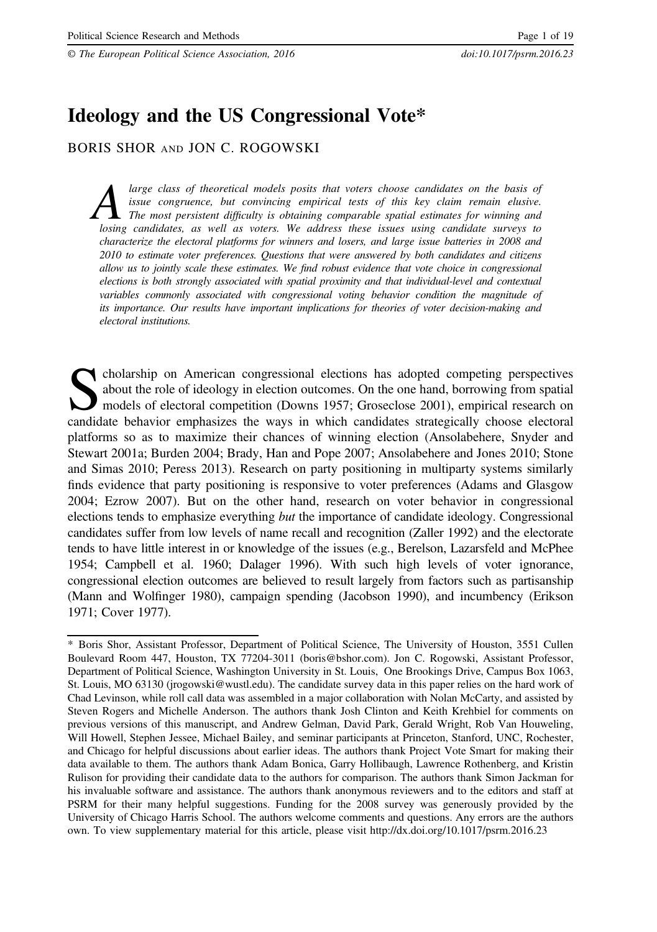© The European Political Science Association, 2016 doi:10.1017/psrm.2016.23

# Ideology and the US Congressional Vote\*

BORIS SHOR AND JON C. ROGOWSKI

arge class of theoretical models posits that voters choose candidates on the basis of issue congruence, but convincing empirical tests of this key claim remain elusive.<br>The most persistent difficulty is obtaining comparabl issue congruence, but convincing empirical tests of this key claim remain elusive. losing candidates, as well as voters. We address these issues using candidate surveys to characterize the electoral platforms for winners and losers, and large issue batteries in 2008 and 2010 to estimate voter preferences. Questions that were answered by both candidates and citizens allow us to jointly scale these estimates. We find robust evidence that vote choice in congressional elections is both strongly associated with spatial proximity and that individual-level and contextual variables commonly associated with congressional voting behavior condition the magnitude of its importance. Our results have important implications for theories of voter decision-making and electoral institutions.

Scholarship on American congressional elections has adopted competing perspectives about the role of ideology in election outcomes. On the one hand, borrowing from spatial models of electoral competition (Downs 1957; Groseclose 2001), empirical research on candidate behavior emphasizes the ways in which candidates strategically choose electoral platforms so as to maximize their chances of winning election (Ansolabehere, Snyder and Stewart [2001a;](#page-17-0) Burden [2004](#page-17-0); Brady, Han and Pope [2007;](#page-17-0) Ansolabehere and Jones [2010;](#page-17-0) Stone and Simas [2010](#page-19-0); Peress [2013\)](#page-19-0). Research on party positioning in multiparty systems similarly finds evidence that party positioning is responsive to voter preferences (Adams and Glasgow [2004;](#page-17-0) Ezrow [2007\)](#page-18-0). But on the other hand, research on voter behavior in congressional elections tends to emphasize everything but the importance of candidate ideology. Congressional candidates suffer from low levels of name recall and recognition (Zaller [1992\)](#page-19-0) and the electorate tends to have little interest in or knowledge of the issues (e.g., Berelson, Lazarsfeld and McPhee [1954](#page-17-0); Campbell et al. [1960](#page-17-0); Dalager [1996](#page-18-0)). With such high levels of voter ignorance, congressional election outcomes are believed to result largely from factors such as partisanship (Mann and Wolfinger [1980\)](#page-19-0), campaign spending (Jacobson [1990](#page-18-0)), and incumbency (Erikson [1971](#page-18-0); Cover [1977\)](#page-18-0).

<sup>\*</sup> Boris Shor, Assistant Professor, Department of Political Science, The University of Houston, 3551 Cullen Boulevard Room 447, Houston, TX 77204-3011 [\(boris@bshor.com\)](mailto:boris@bshor.com). Jon C. Rogowski, Assistant Professor, Department of Political Science, Washington University in St. Louis, One Brookings Drive, Campus Box 1063, St. Louis, MO 63130 ([jrogowski@wustl.edu\)](mailto:jrogowski@wustl.edu). The candidate survey data in this paper relies on the hard work of Chad Levinson, while roll call data was assembled in a major collaboration with Nolan McCarty, and assisted by Steven Rogers and Michelle Anderson. The authors thank Josh Clinton and Keith Krehbiel for comments on previous versions of this manuscript, and Andrew Gelman, David Park, Gerald Wright, Rob Van Houweling, Will Howell, Stephen Jessee, Michael Bailey, and seminar participants at Princeton, Stanford, UNC, Rochester, and Chicago for helpful discussions about earlier ideas. The authors thank Project Vote Smart for making their data available to them. The authors thank Adam Bonica, Garry Hollibaugh, Lawrence Rothenberg, and Kristin Rulison for providing their candidate data to the authors for comparison. The authors thank Simon Jackman for his invaluable software and assistance. The authors thank anonymous reviewers and to the editors and staff at PSRM for their many helpful suggestions. Funding for the 2008 survey was generously provided by the University of Chicago Harris School. The authors welcome comments and questions. Any errors are the authors own. To view supplementary material for this article, please visit http://dx.doi.org/10.1017/psrm.2016.23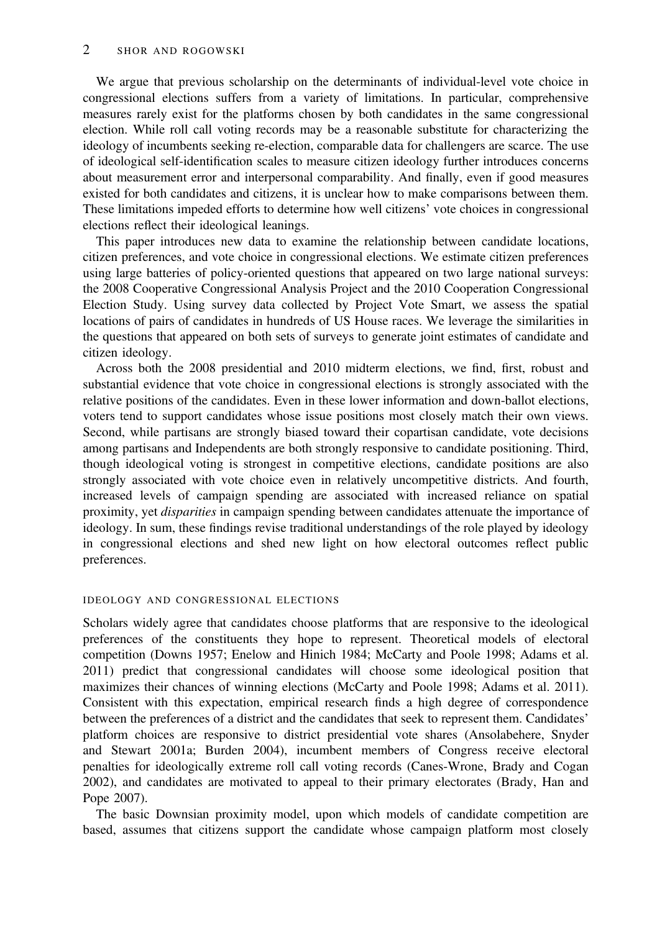We argue that previous scholarship on the determinants of individual-level vote choice in congressional elections suffers from a variety of limitations. In particular, comprehensive measures rarely exist for the platforms chosen by both candidates in the same congressional election. While roll call voting records may be a reasonable substitute for characterizing the ideology of incumbents seeking re-election, comparable data for challengers are scarce. The use of ideological self-identification scales to measure citizen ideology further introduces concerns about measurement error and interpersonal comparability. And finally, even if good measures existed for both candidates and citizens, it is unclear how to make comparisons between them. These limitations impeded efforts to determine how well citizens' vote choices in congressional elections reflect their ideological leanings.

This paper introduces new data to examine the relationship between candidate locations, citizen preferences, and vote choice in congressional elections. We estimate citizen preferences using large batteries of policy-oriented questions that appeared on two large national surveys: the 2008 Cooperative Congressional Analysis Project and the 2010 Cooperation Congressional Election Study. Using survey data collected by Project Vote Smart, we assess the spatial locations of pairs of candidates in hundreds of US House races. We leverage the similarities in the questions that appeared on both sets of surveys to generate joint estimates of candidate and citizen ideology.

Across both the 2008 presidential and 2010 midterm elections, we find, first, robust and substantial evidence that vote choice in congressional elections is strongly associated with the relative positions of the candidates. Even in these lower information and down-ballot elections, voters tend to support candidates whose issue positions most closely match their own views. Second, while partisans are strongly biased toward their copartisan candidate, vote decisions among partisans and Independents are both strongly responsive to candidate positioning. Third, though ideological voting is strongest in competitive elections, candidate positions are also strongly associated with vote choice even in relatively uncompetitive districts. And fourth, increased levels of campaign spending are associated with increased reliance on spatial proximity, yet *disparities* in campaign spending between candidates attenuate the importance of ideology. In sum, these findings revise traditional understandings of the role played by ideology in congressional elections and shed new light on how electoral outcomes reflect public preferences.

#### IDEOLOGY AND CONGRESSIONAL ELECTIONS

Scholars widely agree that candidates choose platforms that are responsive to the ideological preferences of the constituents they hope to represent. Theoretical models of electoral competition (Downs [1957;](#page-18-0) Enelow and Hinich [1984;](#page-18-0) McCarty and Poole [1998](#page-19-0); Adams et al. [2011](#page-17-0)) predict that congressional candidates will choose some ideological position that maximizes their chances of winning elections (McCarty and Poole [1998;](#page-19-0) Adams et al. [2011](#page-17-0)). Consistent with this expectation, empirical research finds a high degree of correspondence between the preferences of a district and the candidates that seek to represent them. Candidates' platform choices are responsive to district presidential vote shares (Ansolabehere, Snyder and Stewart [2001a;](#page-17-0) Burden [2004](#page-17-0)), incumbent members of Congress receive electoral penalties for ideologically extreme roll call voting records (Canes-Wrone, Brady and Cogan [2002](#page-17-0)), and candidates are motivated to appeal to their primary electorates (Brady, Han and Pope [2007](#page-17-0)).

The basic Downsian proximity model, upon which models of candidate competition are based, assumes that citizens support the candidate whose campaign platform most closely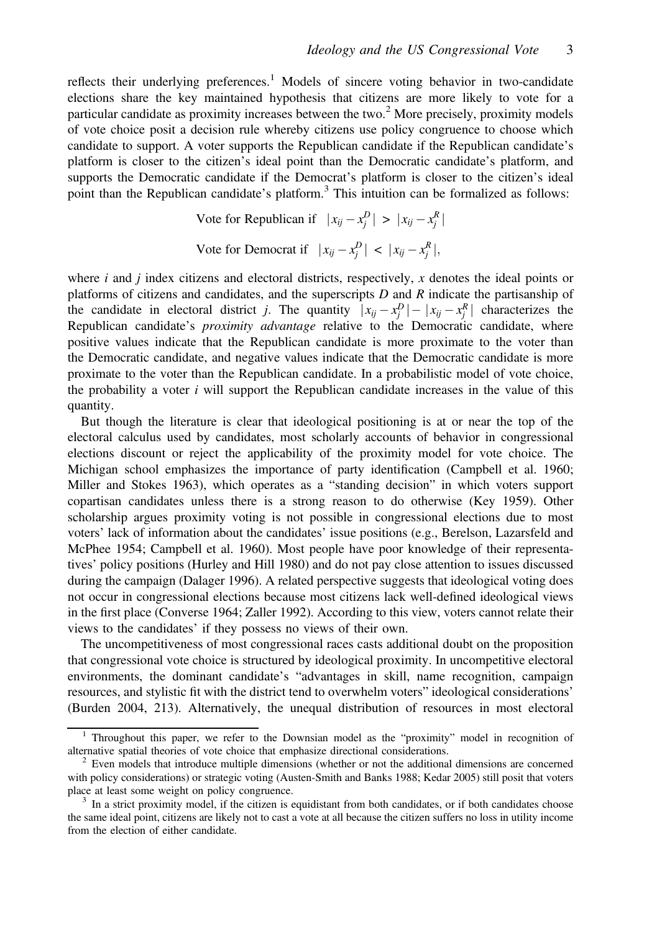reflects their underlying preferences.<sup>1</sup> Models of sincere voting behavior in two-candidate elections share the key maintained hypothesis that citizens are more likely to vote for a particular candidate as proximity increases between the two.<sup>2</sup> More precisely, proximity models of vote choice posit a decision rule whereby citizens use policy congruence to choose which candidate to support. A voter supports the Republican candidate if the Republican candidate's platform is closer to the citizen's ideal point than the Democratic candidate's platform, and supports the Democratic candidate if the Democrat's platform is closer to the citizen's ideal point than the Republican candidate's platform.<sup>3</sup> This intuition can be formalized as follows:

\n Note for Republican if 
$$
|x_{ij} - x_j^D| > |x_{ij} - x_j^R|
$$
\n

\n\n Note for Demoncraft  $|x_{ij} - x_j^D| < |x_{ij} - x_j^R|$ ,\n

where i and j index citizens and electoral districts, respectively, x denotes the ideal points or platforms of citizens and candidates, and the superscripts  $D$  and  $R$  indicate the partisanship of the candidate in electoral district *j*. The quantity  $|x_{ij} - x_j^D| - |x_{ij} - x_j^R|$  characterizes the Republican candidate's *proximity advantage* relative to the Democratic candidate, where positive values indicate that the Republican candidate is more proximate to the voter than the Democratic candidate, and negative values indicate that the Democratic candidate is more proximate to the voter than the Republican candidate. In a probabilistic model of vote choice, the probability a voter  $i$  will support the Republican candidate increases in the value of this quantity.

But though the literature is clear that ideological positioning is at or near the top of the electoral calculus used by candidates, most scholarly accounts of behavior in congressional elections discount or reject the applicability of the proximity model for vote choice. The Michigan school emphasizes the importance of party identification (Campbell et al. [1960;](#page-17-0) Miller and Stokes [1963](#page-19-0)), which operates as a "standing decision" in which voters support copartisan candidates unless there is a strong reason to do otherwise (Key [1959](#page-19-0)). Other scholarship argues proximity voting is not possible in congressional elections due to most voters' lack of information about the candidates' issue positions (e.g., Berelson, Lazarsfeld and McPhee [1954;](#page-17-0) Campbell et al. [1960\)](#page-17-0). Most people have poor knowledge of their representatives' policy positions (Hurley and Hill [1980\)](#page-18-0) and do not pay close attention to issues discussed during the campaign (Dalager [1996](#page-18-0)). A related perspective suggests that ideological voting does not occur in congressional elections because most citizens lack well-defined ideological views in the first place (Converse [1964](#page-18-0); Zaller [1992](#page-19-0)). According to this view, voters cannot relate their views to the candidates' if they possess no views of their own.

The uncompetitiveness of most congressional races casts additional doubt on the proposition that congressional vote choice is structured by ideological proximity. In uncompetitive electoral environments, the dominant candidate's "advantages in skill, name recognition, campaign resources, and stylistic fit with the district tend to overwhelm voters" ideological considerations' (Burden [2004](#page-17-0), 213). Alternatively, the unequal distribution of resources in most electoral

<sup>&</sup>lt;sup>1</sup> Throughout this paper, we refer to the Downsian model as the "proximity" model in recognition of alternative spatial theories of vote choice that emphasize directional considerations. <sup>2</sup> Even models that introduce multiple dimensions (whether or not the additional dimensions are concerned

with policy considerations) or strategic voting (Austen-Smith and Banks [1988;](#page-17-0) Kedar [2005\)](#page-19-0) still posit that voters place at least some weight on policy congruence.<br><sup>3</sup> In a strict proximity model, if the citizen is equidistant from both candidates, or if both candidates choose

the same ideal point, citizens are likely not to cast a vote at all because the citizen suffers no loss in utility income from the election of either candidate.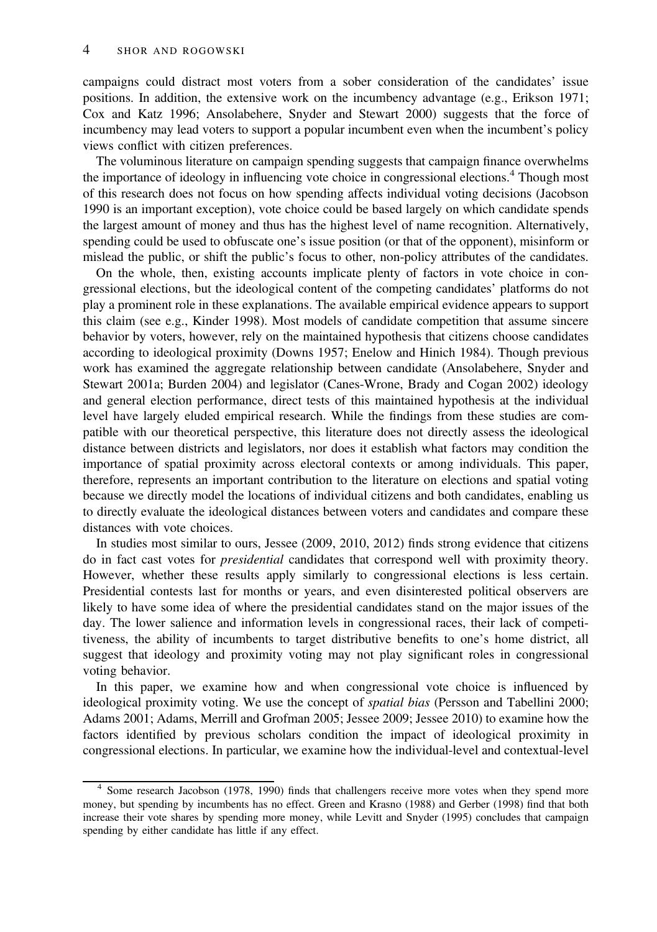campaigns could distract most voters from a sober consideration of the candidates' issue positions. In addition, the extensive work on the incumbency advantage (e.g., Erikson [1971](#page-18-0); Cox and Katz [1996](#page-18-0); Ansolabehere, Snyder and Stewart [2000\)](#page-17-0) suggests that the force of incumbency may lead voters to support a popular incumbent even when the incumbent's policy views conflict with citizen preferences.

The voluminous literature on campaign spending suggests that campaign finance overwhelms the importance of ideology in influencing vote choice in congressional elections.<sup>4</sup> Though most of this research does not focus on how spending affects individual voting decisions (Jacobson [1990](#page-18-0) is an important exception), vote choice could be based largely on which candidate spends the largest amount of money and thus has the highest level of name recognition. Alternatively, spending could be used to obfuscate one's issue position (or that of the opponent), misinform or mislead the public, or shift the public's focus to other, non-policy attributes of the candidates.

On the whole, then, existing accounts implicate plenty of factors in vote choice in congressional elections, but the ideological content of the competing candidates' platforms do not play a prominent role in these explanations. The available empirical evidence appears to support this claim (see e.g., Kinder [1998](#page-19-0)). Most models of candidate competition that assume sincere behavior by voters, however, rely on the maintained hypothesis that citizens choose candidates according to ideological proximity (Downs [1957;](#page-18-0) Enelow and Hinich [1984](#page-18-0)). Though previous work has examined the aggregate relationship between candidate (Ansolabehere, Snyder and Stewart [2001a](#page-17-0); Burden [2004\)](#page-17-0) and legislator (Canes-Wrone, Brady and Cogan [2002\)](#page-17-0) ideology and general election performance, direct tests of this maintained hypothesis at the individual level have largely eluded empirical research. While the findings from these studies are compatible with our theoretical perspective, this literature does not directly assess the ideological distance between districts and legislators, nor does it establish what factors may condition the importance of spatial proximity across electoral contexts or among individuals. This paper, therefore, represents an important contribution to the literature on elections and spatial voting because we directly model the locations of individual citizens and both candidates, enabling us to directly evaluate the ideological distances between voters and candidates and compare these distances with vote choices.

In studies most similar to ours, Jessee ([2009,](#page-18-0) [2010, 2012](#page-19-0)) finds strong evidence that citizens do in fact cast votes for presidential candidates that correspond well with proximity theory. However, whether these results apply similarly to congressional elections is less certain. Presidential contests last for months or years, and even disinterested political observers are likely to have some idea of where the presidential candidates stand on the major issues of the day. The lower salience and information levels in congressional races, their lack of competitiveness, the ability of incumbents to target distributive benefits to one's home district, all suggest that ideology and proximity voting may not play significant roles in congressional voting behavior.

In this paper, we examine how and when congressional vote choice is influenced by ideological proximity voting. We use the concept of *spatial bias* (Persson and Tabellini [2000](#page-19-0); Adams [2001;](#page-16-0) Adams, Merrill and Grofman [2005](#page-16-0); Jessee [2009](#page-18-0); Jessee [2010](#page-19-0)) to examine how the factors identified by previous scholars condition the impact of ideological proximity in congressional elections. In particular, we examine how the individual-level and contextual-level

<sup>&</sup>lt;sup>4</sup> Some research Jacobson ([1978, 1990](#page-18-0)) finds that challengers receive more votes when they spend more money, but spending by incumbents has no effect. Green and Krasno [\(1988\)](#page-18-0) and Gerber [\(1998](#page-18-0)) find that both increase their vote shares by spending more money, while Levitt and Snyder ([1995\)](#page-19-0) concludes that campaign spending by either candidate has little if any effect.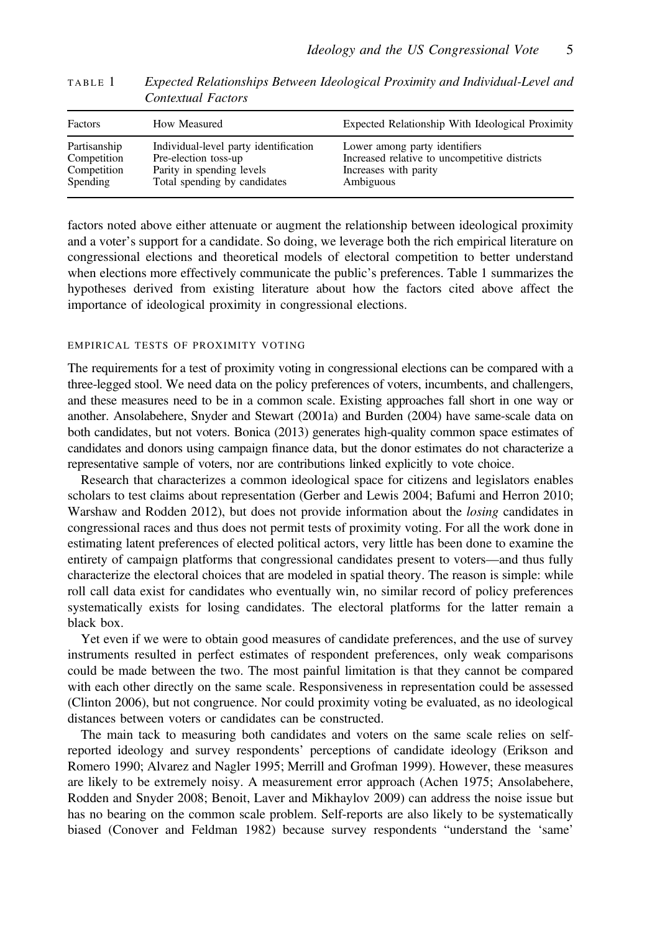| Factors      | <b>How Measured</b>                   | Expected Relationship With Ideological Proximity |  |  |  |
|--------------|---------------------------------------|--------------------------------------------------|--|--|--|
| Partisanship | Individual-level party identification | Lower among party identifiers                    |  |  |  |
| Competition  | Pre-election toss-up                  | Increased relative to uncompetitive districts    |  |  |  |
| Competition  | Parity in spending levels             | Increases with parity                            |  |  |  |
| Spending     | Total spending by candidates          | Ambiguous                                        |  |  |  |

TABLE 1 Expected Relationships Between Ideological Proximity and Individual-Level and Contextual Factors

factors noted above either attenuate or augment the relationship between ideological proximity and a voter's support for a candidate. So doing, we leverage both the rich empirical literature on congressional elections and theoretical models of electoral competition to better understand when elections more effectively communicate the public's preferences. Table 1 summarizes the hypotheses derived from existing literature about how the factors cited above affect the importance of ideological proximity in congressional elections.

### EMPIRICAL TESTS OF PROXIMITY VOTING

The requirements for a test of proximity voting in congressional elections can be compared with a three-legged stool. We need data on the policy preferences of voters, incumbents, and challengers, and these measures need to be in a common scale. Existing approaches fall short in one way or another. Ansolabehere, Snyder and Stewart [\(2001a](#page-17-0)) and Burden [\(2004](#page-17-0)) have same-scale data on both candidates, but not voters. Bonica [\(2013](#page-17-0)) generates high-quality common space estimates of candidates and donors using campaign finance data, but the donor estimates do not characterize a representative sample of voters, nor are contributions linked explicitly to vote choice.

Research that characterizes a common ideological space for citizens and legislators enables scholars to test claims about representation (Gerber and Lewis [2004](#page-18-0); Bafumi and Herron [2010;](#page-17-0) Warshaw and Rodden [2012](#page-19-0)), but does not provide information about the *losing* candidates in congressional races and thus does not permit tests of proximity voting. For all the work done in estimating latent preferences of elected political actors, very little has been done to examine the entirety of campaign platforms that congressional candidates present to voters—and thus fully characterize the electoral choices that are modeled in spatial theory. The reason is simple: while roll call data exist for candidates who eventually win, no similar record of policy preferences systematically exists for losing candidates. The electoral platforms for the latter remain a black box.

Yet even if we were to obtain good measures of candidate preferences, and the use of survey instruments resulted in perfect estimates of respondent preferences, only weak comparisons could be made between the two. The most painful limitation is that they cannot be compared with each other directly on the same scale. Responsiveness in representation could be assessed (Clinton [2006](#page-17-0)), but not congruence. Nor could proximity voting be evaluated, as no ideological distances between voters or candidates can be constructed.

The main tack to measuring both candidates and voters on the same scale relies on selfreported ideology and survey respondents' perceptions of candidate ideology (Erikson and Romero [1990](#page-18-0); Alvarez and Nagler [1995;](#page-17-0) Merrill and Grofman [1999](#page-19-0)). However, these measures are likely to be extremely noisy. A measurement error approach (Achen [1975;](#page-16-0) Ansolabehere, Rodden and Snyder [2008](#page-17-0); Benoit, Laver and Mikhaylov [2009\)](#page-17-0) can address the noise issue but has no bearing on the common scale problem. Self-reports are also likely to be systematically biased (Conover and Feldman [1982\)](#page-18-0) because survey respondents "understand the 'same'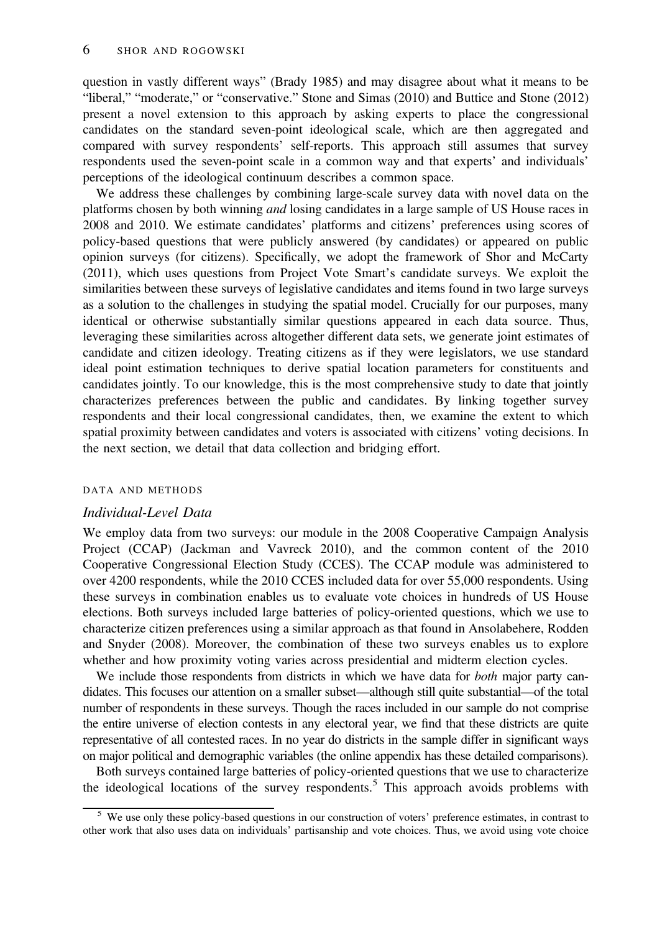question in vastly different ways" (Brady [1985](#page-17-0)) and may disagree about what it means to be "liberal," "moderate," or "conservative." Stone and Simas [\(2010](#page-19-0)) and Buttice and Stone ([2012\)](#page-17-0) present a novel extension to this approach by asking experts to place the congressional candidates on the standard seven-point ideological scale, which are then aggregated and compared with survey respondents' self-reports. This approach still assumes that survey respondents used the seven-point scale in a common way and that experts' and individuals' perceptions of the ideological continuum describes a common space.

We address these challenges by combining large-scale survey data with novel data on the platforms chosen by both winning and losing candidates in a large sample of US House races in 2008 and 2010. We estimate candidates' platforms and citizens' preferences using scores of policy-based questions that were publicly answered (by candidates) or appeared on public opinion surveys (for citizens). Specifically, we adopt the framework of Shor and McCarty [\(2011](#page-19-0)), which uses questions from Project Vote Smart's candidate surveys. We exploit the similarities between these surveys of legislative candidates and items found in two large surveys as a solution to the challenges in studying the spatial model. Crucially for our purposes, many identical or otherwise substantially similar questions appeared in each data source. Thus, leveraging these similarities across altogether different data sets, we generate joint estimates of candidate and citizen ideology. Treating citizens as if they were legislators, we use standard ideal point estimation techniques to derive spatial location parameters for constituents and candidates jointly. To our knowledge, this is the most comprehensive study to date that jointly characterizes preferences between the public and candidates. By linking together survey respondents and their local congressional candidates, then, we examine the extent to which spatial proximity between candidates and voters is associated with citizens' voting decisions. In the next section, we detail that data collection and bridging effort.

#### DATA AND METHODS

### Individual-Level Data

We employ data from two surveys: our module in the 2008 Cooperative Campaign Analysis Project (CCAP) (Jackman and Vavreck [2010\)](#page-18-0), and the common content of the 2010 Cooperative Congressional Election Study (CCES). The CCAP module was administered to over 4200 respondents, while the 2010 CCES included data for over 55,000 respondents. Using these surveys in combination enables us to evaluate vote choices in hundreds of US House elections. Both surveys included large batteries of policy-oriented questions, which we use to characterize citizen preferences using a similar approach as that found in Ansolabehere, Rodden and Snyder ([2008\)](#page-17-0). Moreover, the combination of these two surveys enables us to explore whether and how proximity voting varies across presidential and midterm election cycles.

We include those respondents from districts in which we have data for *both* major party candidates. This focuses our attention on a smaller subset—although still quite substantial—of the total number of respondents in these surveys. Though the races included in our sample do not comprise the entire universe of election contests in any electoral year, we find that these districts are quite representative of all contested races. In no year do districts in the sample differ in significant ways on major political and demographic variables (the online appendix has these detailed comparisons).

Both surveys contained large batteries of policy-oriented questions that we use to characterize the ideological locations of the survey respondents.<sup>5</sup> This approach avoids problems with

<sup>&</sup>lt;sup>5</sup> We use only these policy-based questions in our construction of voters' preference estimates, in contrast to other work that also uses data on individuals' partisanship and vote choices. Thus, we avoid using vote choice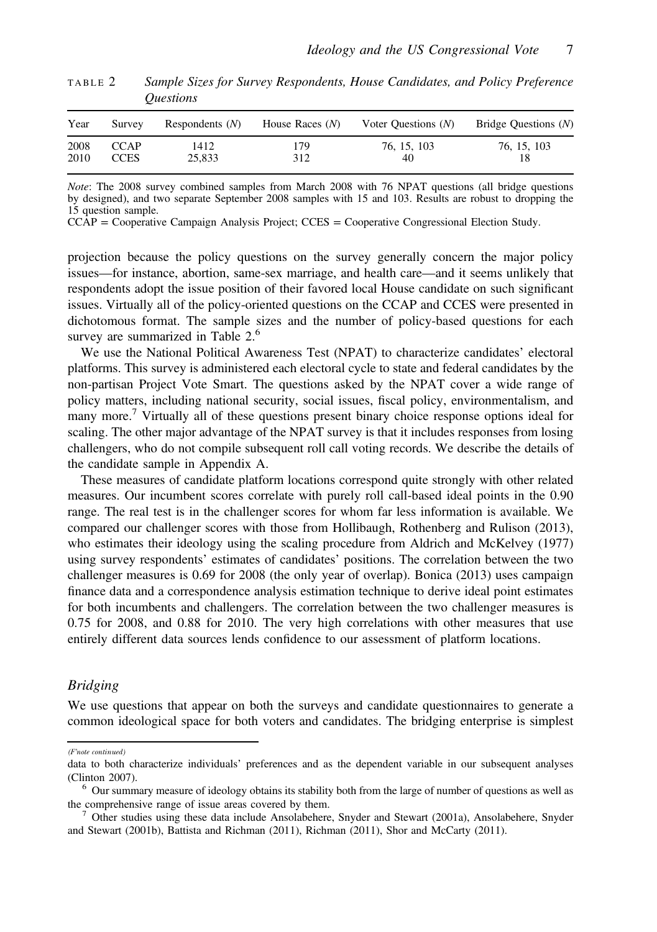| Year | Survey      | Respondents $(N)$ | House Races $(N)$ | Voter Questions $(N)$ | Bridge Questions $(N)$ |
|------|-------------|-------------------|-------------------|-----------------------|------------------------|
| 2008 | <b>CCAP</b> | 1412              | 179               | 76, 15, 103           | 76, 15, 103            |
| 2010 | <b>CCES</b> | 25,833            | 312               | 40                    | 18                     |

TABLE 2 Sample Sizes for Survey Respondents, House Candidates, and Policy Preference Questions

Note: The 2008 survey combined samples from March 2008 with 76 NPAT questions (all bridge questions by designed), and two separate September 2008 samples with 15 and 103. Results are robust to dropping the 15 question sample.

CCAP = Cooperative Campaign Analysis Project; CCES = Cooperative Congressional Election Study.

projection because the policy questions on the survey generally concern the major policy issues—for instance, abortion, same-sex marriage, and health care—and it seems unlikely that respondents adopt the issue position of their favored local House candidate on such significant issues. Virtually all of the policy-oriented questions on the CCAP and CCES were presented in dichotomous format. The sample sizes and the number of policy-based questions for each survey are summarized in Table 2.<sup>6</sup>

We use the National Political Awareness Test (NPAT) to characterize candidates' electoral platforms. This survey is administered each electoral cycle to state and federal candidates by the non-partisan Project Vote Smart. The questions asked by the NPAT cover a wide range of policy matters, including national security, social issues, fiscal policy, environmentalism, and many more.<sup>7</sup> Virtually all of these questions present binary choice response options ideal for scaling. The other major advantage of the NPAT survey is that it includes responses from losing challengers, who do not compile subsequent roll call voting records. We describe the details of the candidate sample in Appendix A.

These measures of candidate platform locations correspond quite strongly with other related measures. Our incumbent scores correlate with purely roll call-based ideal points in the 0.90 range. The real test is in the challenger scores for whom far less information is available. We compared our challenger scores with those from Hollibaugh, Rothenberg and Rulison ([2013\)](#page-18-0), who estimates their ideology using the scaling procedure from Aldrich and McKelvey [\(1977](#page-17-0)) using survey respondents' estimates of candidates' positions. The correlation between the two challenger measures is 0.69 for 2008 (the only year of overlap). Bonica ([2013\)](#page-17-0) uses campaign finance data and a correspondence analysis estimation technique to derive ideal point estimates for both incumbents and challengers. The correlation between the two challenger measures is 0.75 for 2008, and 0.88 for 2010. The very high correlations with other measures that use entirely different data sources lends confidence to our assessment of platform locations.

# Bridging

We use questions that appear on both the surveys and candidate questionnaires to generate a common ideological space for both voters and candidates. The bridging enterprise is simplest

<sup>(</sup>F'note continued)

data to both characterize individuals' preferences and as the dependent variable in our subsequent analyses (Clinton [2007\)](#page-17-0).<br><sup>6</sup> Our summary measure of ideology obtains its stability both from the large of number of questions as well as

the comprehensive range of issue areas covered by them.<br><sup>7</sup> Other studies using these data include Ansolabehere, Snyder and Stewart [\(2001](#page-17-0)a), Ansolabehere, Snyder

and Stewart ([2001b](#page-17-0)), Battista and Richman ([2011\)](#page-17-0), Richman [\(2011](#page-19-0)), Shor and McCarty [\(2011](#page-19-0)).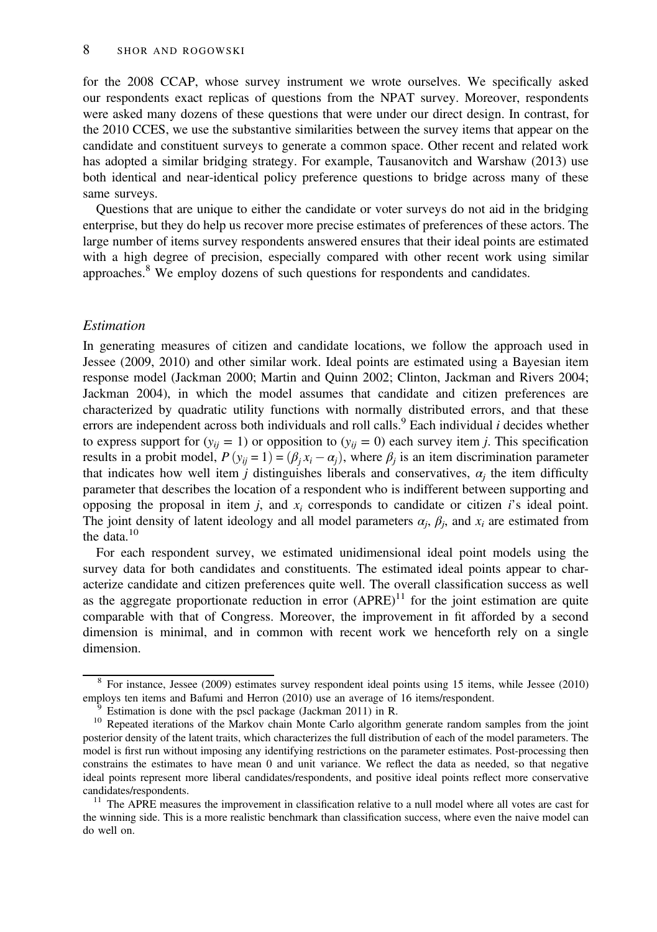for the 2008 CCAP, whose survey instrument we wrote ourselves. We specifically asked our respondents exact replicas of questions from the NPAT survey. Moreover, respondents were asked many dozens of these questions that were under our direct design. In contrast, for the 2010 CCES, we use the substantive similarities between the survey items that appear on the candidate and constituent surveys to generate a common space. Other recent and related work has adopted a similar bridging strategy. For example, Tausanovitch and Warshaw [\(2013](#page-19-0)) use both identical and near-identical policy preference questions to bridge across many of these same surveys.

Questions that are unique to either the candidate or voter surveys do not aid in the bridging enterprise, but they do help us recover more precise estimates of preferences of these actors. The large number of items survey respondents answered ensures that their ideal points are estimated with a high degree of precision, especially compared with other recent work using similar approaches.<sup>8</sup> We employ dozens of such questions for respondents and candidates.

### Estimation

In generating measures of citizen and candidate locations, we follow the approach used in Jessee ([2009,](#page-18-0) [2010](#page-19-0)) and other similar work. Ideal points are estimated using a Bayesian item response model (Jackman [2000;](#page-18-0) Martin and Quinn [2002](#page-19-0); Clinton, Jackman and Rivers [2004](#page-17-0); Jackman [2004](#page-18-0)), in which the model assumes that candidate and citizen preferences are characterized by quadratic utility functions with normally distributed errors, and that these errors are independent across both individuals and roll calls.<sup>9</sup> Each individual *i* decides whether to express support for  $(y_{ij} = 1)$  or opposition to  $(y_{ij} = 0)$  each survey item j. This specification results in a probit model,  $P(y_{ij} = 1) = (\beta_j x_i - \alpha_j)$ , where  $\beta_j$  is an item discrimination parameter that indicates how well item j distinguishes liberals and conservatives,  $\alpha_i$  the item difficulty parameter that describes the location of a respondent who is indifferent between supporting and opposing the proposal in item  $i$ , and  $x_i$  corresponds to candidate or citizen  $i$ 's ideal point. The joint density of latent ideology and all model parameters  $\alpha_j$ ,  $\beta_j$ , and  $x_i$  are estimated from the data. $10$ 

For each respondent survey, we estimated unidimensional ideal point models using the survey data for both candidates and constituents. The estimated ideal points appear to characterize candidate and citizen preferences quite well. The overall classification success as well as the aggregate proportionate reduction in error  $(APRE)^{11}$  for the joint estimation are quite comparable with that of Congress. Moreover, the improvement in fit afforded by a second dimension is minimal, and in common with recent work we henceforth rely on a single dimension.

<sup>8</sup> For instance, Jessee [\(2009\)](#page-18-0) estimates survey respondent ideal points using 15 items, while Jessee [\(2010](#page-19-0)) employs ten items and Bafumi and Herron ([2010\)](#page-17-0) use an average of 16 items/respondent.<br><sup>9</sup> Estimation is done with the pscl package (Jackman [2011](#page-18-0)) in R.<br><sup>10</sup> Repeated iterations of the Markov chain Monte Carlo algorithm gen

posterior density of the latent traits, which characterizes the full distribution of each of the model parameters. The model is first run without imposing any identifying restrictions on the parameter estimates. Post-processing then constrains the estimates to have mean 0 and unit variance. We reflect the data as needed, so that negative ideal points represent more liberal candidates/respondents, and positive ideal points reflect more conservative candidates/respondents.<br> $11$  The APRE measures the improvement in classification relative to a null model where all votes are cast for

the winning side. This is a more realistic benchmark than classification success, where even the naive model can do well on.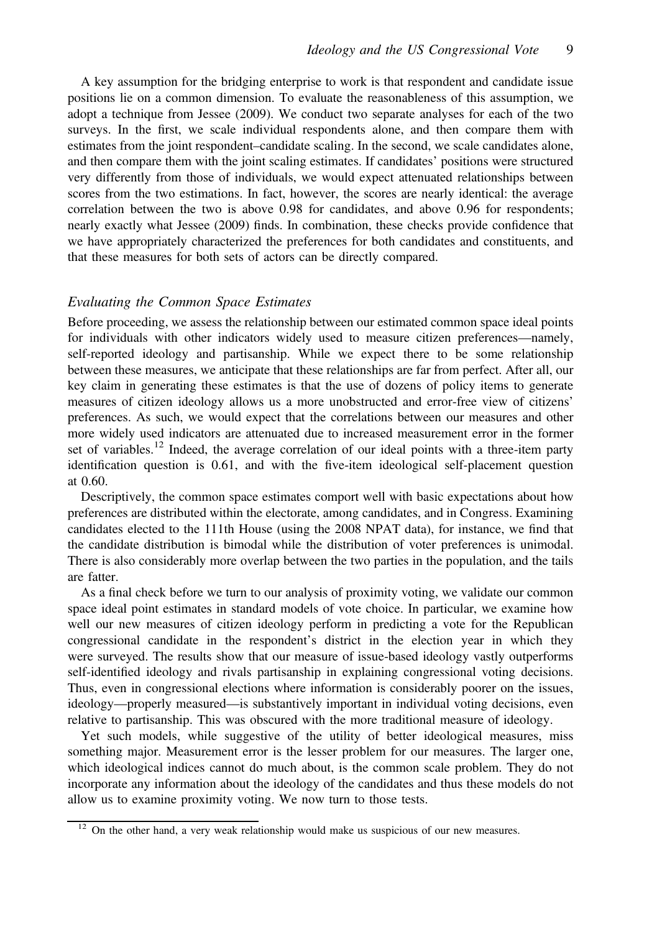A key assumption for the bridging enterprise to work is that respondent and candidate issue positions lie on a common dimension. To evaluate the reasonableness of this assumption, we adopt a technique from Jessee ([2009\)](#page-18-0). We conduct two separate analyses for each of the two surveys. In the first, we scale individual respondents alone, and then compare them with estimates from the joint respondent–candidate scaling. In the second, we scale candidates alone, and then compare them with the joint scaling estimates. If candidates' positions were structured very differently from those of individuals, we would expect attenuated relationships between scores from the two estimations. In fact, however, the scores are nearly identical: the average correlation between the two is above 0.98 for candidates, and above 0.96 for respondents; nearly exactly what Jessee [\(2009](#page-18-0)) finds. In combination, these checks provide confidence that we have appropriately characterized the preferences for both candidates and constituents, and that these measures for both sets of actors can be directly compared.

# Evaluating the Common Space Estimates

Before proceeding, we assess the relationship between our estimated common space ideal points for individuals with other indicators widely used to measure citizen preferences—namely, self-reported ideology and partisanship. While we expect there to be some relationship between these measures, we anticipate that these relationships are far from perfect. After all, our key claim in generating these estimates is that the use of dozens of policy items to generate measures of citizen ideology allows us a more unobstructed and error-free view of citizens' preferences. As such, we would expect that the correlations between our measures and other more widely used indicators are attenuated due to increased measurement error in the former set of variables.<sup>12</sup> Indeed, the average correlation of our ideal points with a three-item party identification question is 0.61, and with the five-item ideological self-placement question at 0.60.

Descriptively, the common space estimates comport well with basic expectations about how preferences are distributed within the electorate, among candidates, and in Congress. Examining candidates elected to the 111th House (using the 2008 NPAT data), for instance, we find that the candidate distribution is bimodal while the distribution of voter preferences is unimodal. There is also considerably more overlap between the two parties in the population, and the tails are fatter.

As a final check before we turn to our analysis of proximity voting, we validate our common space ideal point estimates in standard models of vote choice. In particular, we examine how well our new measures of citizen ideology perform in predicting a vote for the Republican congressional candidate in the respondent's district in the election year in which they were surveyed. The results show that our measure of issue-based ideology vastly outperforms self-identified ideology and rivals partisanship in explaining congressional voting decisions. Thus, even in congressional elections where information is considerably poorer on the issues, ideology—properly measured—is substantively important in individual voting decisions, even relative to partisanship. This was obscured with the more traditional measure of ideology.

Yet such models, while suggestive of the utility of better ideological measures, miss something major. Measurement error is the lesser problem for our measures. The larger one, which ideological indices cannot do much about, is the common scale problem. They do not incorporate any information about the ideology of the candidates and thus these models do not allow us to examine proximity voting. We now turn to those tests.

<sup>&</sup>lt;sup>12</sup> On the other hand, a very weak relationship would make us suspicious of our new measures.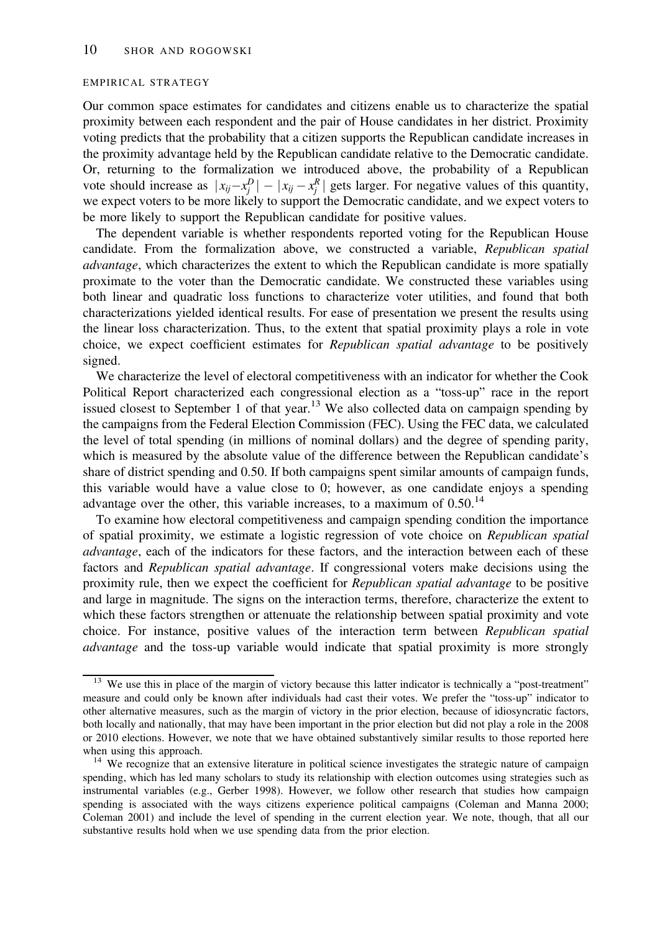#### EMPIRICAL STRATEGY

Our common space estimates for candidates and citizens enable us to characterize the spatial proximity between each respondent and the pair of House candidates in her district. Proximity voting predicts that the probability that a citizen supports the Republican candidate increases in the proximity advantage held by the Republican candidate relative to the Democratic candidate. Or, returning to the formalization we introduced above, the probability of a Republican vote should increase as  $|x_{ij} - x_j^D| - |x_{ij} - x_j^R|$  gets larger. For negative values of this quantity, we expect voters to be more likely to support the Democratic candidate, and we expect voters to be more likely to support the Republican candidate for positive values.

The dependent variable is whether respondents reported voting for the Republican House candidate. From the formalization above, we constructed a variable, Republican spatial advantage, which characterizes the extent to which the Republican candidate is more spatially proximate to the voter than the Democratic candidate. We constructed these variables using both linear and quadratic loss functions to characterize voter utilities, and found that both characterizations yielded identical results. For ease of presentation we present the results using the linear loss characterization. Thus, to the extent that spatial proximity plays a role in vote choice, we expect coefficient estimates for Republican spatial advantage to be positively signed.

We characterize the level of electoral competitiveness with an indicator for whether the Cook Political Report characterized each congressional election as a "toss-up" race in the report issued closest to September 1 of that year.<sup>13</sup> We also collected data on campaign spending by the campaigns from the Federal Election Commission (FEC). Using the FEC data, we calculated the level of total spending (in millions of nominal dollars) and the degree of spending parity, which is measured by the absolute value of the difference between the Republican candidate's share of district spending and 0.50. If both campaigns spent similar amounts of campaign funds, this variable would have a value close to 0; however, as one candidate enjoys a spending advantage over the other, this variable increases, to a maximum of  $0.50$ .<sup>14</sup>

To examine how electoral competitiveness and campaign spending condition the importance of spatial proximity, we estimate a logistic regression of vote choice on Republican spatial *advantage*, each of the indicators for these factors, and the interaction between each of these factors and *Republican spatial advantage*. If congressional voters make decisions using the proximity rule, then we expect the coefficient for Republican spatial advantage to be positive and large in magnitude. The signs on the interaction terms, therefore, characterize the extent to which these factors strengthen or attenuate the relationship between spatial proximity and vote choice. For instance, positive values of the interaction term between Republican spatial advantage and the toss-up variable would indicate that spatial proximity is more strongly

<sup>&</sup>lt;sup>13</sup> We use this in place of the margin of victory because this latter indicator is technically a "post-treatment" measure and could only be known after individuals had cast their votes. We prefer the "toss-up" indicator to other alternative measures, such as the margin of victory in the prior election, because of idiosyncratic factors, both locally and nationally, that may have been important in the prior election but did not play a role in the 2008 or 2010 elections. However, we note that we have obtained substantively similar results to those reported here

<sup>&</sup>lt;sup>14</sup> We recognize that an extensive literature in political science investigates the strategic nature of campaign spending, which has led many scholars to study its relationship with election outcomes using strategies such as instrumental variables (e.g., Gerber [1998\)](#page-18-0). However, we follow other research that studies how campaign spending is associated with the ways citizens experience political campaigns (Coleman and Manna [2000;](#page-18-0) Coleman 2001) and include the level of spending in the current election year. We note, though, that all our substantive results hold when we use spending data from the prior election.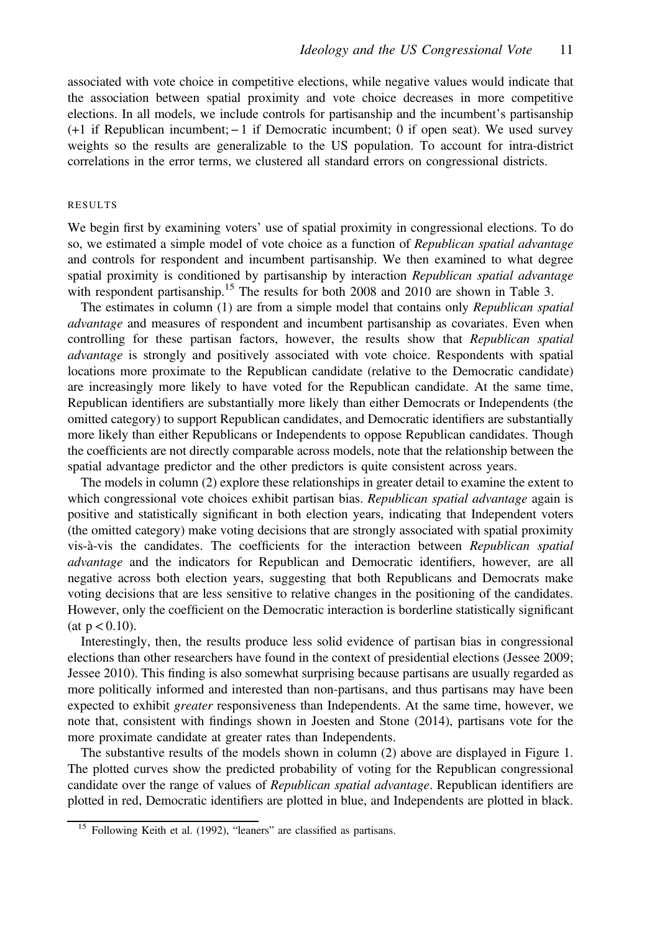associated with vote choice in competitive elections, while negative values would indicate that the association between spatial proximity and vote choice decreases in more competitive elections. In all models, we include controls for partisanship and the incumbent's partisanship (+1 if Republican incumbent; − 1 if Democratic incumbent; 0 if open seat). We used survey weights so the results are generalizable to the US population. To account for intra-district correlations in the error terms, we clustered all standard errors on congressional districts.

#### RESULTS

We begin first by examining voters' use of spatial proximity in congressional elections. To do so, we estimated a simple model of vote choice as a function of Republican spatial advantage and controls for respondent and incumbent partisanship. We then examined to what degree spatial proximity is conditioned by partisanship by interaction Republican spatial advantage with respondent partisanship.<sup>15</sup> The results for both 2008 and 2010 are shown in [Table 3.](#page-12-0)

The estimates in column (1) are from a simple model that contains only *Republican spatial advantage* and measures of respondent and incumbent partisanship as covariates. Even when controlling for these partisan factors, however, the results show that Republican spatial *advantage* is strongly and positively associated with vote choice. Respondents with spatial locations more proximate to the Republican candidate (relative to the Democratic candidate) are increasingly more likely to have voted for the Republican candidate. At the same time, Republican identifiers are substantially more likely than either Democrats or Independents (the omitted category) to support Republican candidates, and Democratic identifiers are substantially more likely than either Republicans or Independents to oppose Republican candidates. Though the coefficients are not directly comparable across models, note that the relationship between the spatial advantage predictor and the other predictors is quite consistent across years.

The models in column (2) explore these relationships in greater detail to examine the extent to which congressional vote choices exhibit partisan bias. Republican spatial advantage again is positive and statistically significant in both election years, indicating that Independent voters (the omitted category) make voting decisions that are strongly associated with spatial proximity vis-à-vis the candidates. The coefficients for the interaction between Republican spatial advantage and the indicators for Republican and Democratic identifiers, however, are all negative across both election years, suggesting that both Republicans and Democrats make voting decisions that are less sensitive to relative changes in the positioning of the candidates. However, only the coefficient on the Democratic interaction is borderline statistically significant  $(at p < 0.10).$ 

Interestingly, then, the results produce less solid evidence of partisan bias in congressional elections than other researchers have found in the context of presidential elections (Jessee [2009;](#page-18-0) Jessee [2010\)](#page-19-0). This finding is also somewhat surprising because partisans are usually regarded as more politically informed and interested than non-partisans, and thus partisans may have been expected to exhibit *greater* responsiveness than Independents. At the same time, however, we note that, consistent with findings shown in Joesten and Stone [\(2014](#page-19-0)), partisans vote for the more proximate candidate at greater rates than Independents.

The substantive results of the models shown in column (2) above are displayed in [Figure 1](#page-12-0). The plotted curves show the predicted probability of voting for the Republican congressional candidate over the range of values of Republican spatial advantage. Republican identifiers are plotted in red, Democratic identifiers are plotted in blue, and Independents are plotted in black.

<sup>&</sup>lt;sup>15</sup> Following Keith et al. [\(1992](#page-19-0)), "leaners" are classified as partisans.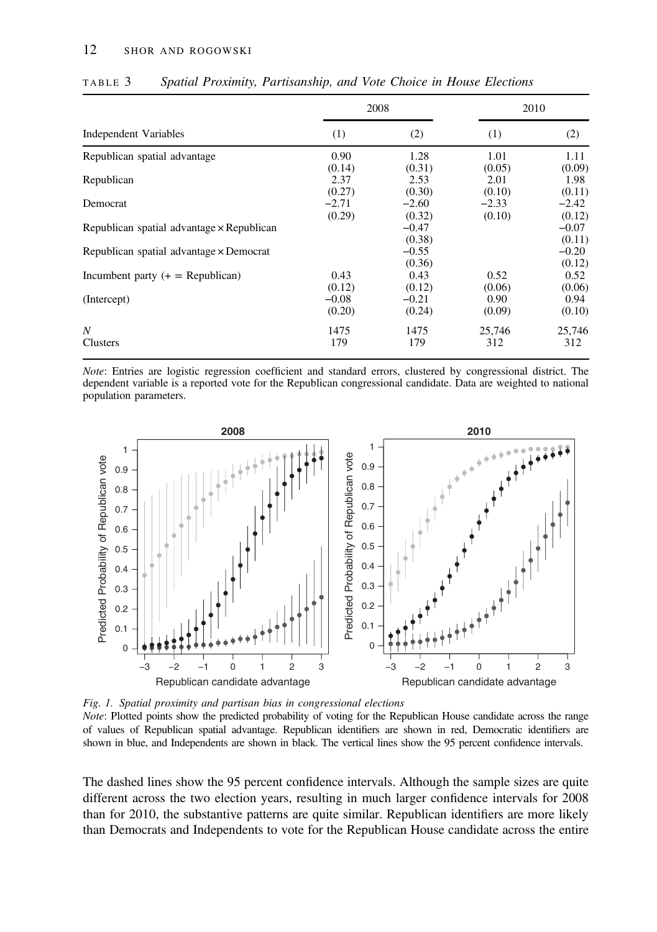|                                           | 2008    |         | 2010    |         |  |
|-------------------------------------------|---------|---------|---------|---------|--|
| Independent Variables                     | (1)     | (2)     | (1)     | (2)     |  |
| Republican spatial advantage              | 0.90    | 1.28    | 1.01    | 1.11    |  |
|                                           | (0.14)  | (0.31)  | (0.05)  | (0.09)  |  |
| Republican                                | 2.37    | 2.53    | 2.01    | 1.98    |  |
|                                           | (0.27)  | (0.30)  | (0.10)  | (0.11)  |  |
| Democrat                                  | $-2.71$ | $-2.60$ | $-2.33$ | $-2.42$ |  |
|                                           | (0.29)  | (0.32)  | (0.10)  | (0.12)  |  |
| Republican spatial advantage × Republican |         | $-0.47$ |         | $-0.07$ |  |
|                                           |         | (0.38)  |         | (0.11)  |  |
| Republican spatial advantage × Democrat   |         | $-0.55$ |         | $-0.20$ |  |
|                                           |         | (0.36)  |         | (0.12)  |  |
| Incumbent party $(+)$ = Republican)       | 0.43    | 0.43    | 0.52    | 0.52    |  |
|                                           | (0.12)  | (0.12)  | (0.06)  | (0.06)  |  |
| (Intercept)                               | $-0.08$ | $-0.21$ | 0.90    | 0.94    |  |
|                                           | (0.20)  | (0.24)  | (0.09)  | (0.10)  |  |
| N                                         | 1475    | 1475    | 25,746  | 25,746  |  |
| Clusters                                  | 179     | 179     | 312     | 312     |  |

<span id="page-12-0"></span>TABLE 3 Spatial Proximity, Partisanship, and Vote Choice in House Elections

Note: Entries are logistic regression coefficient and standard errors, clustered by congressional district. The dependent variable is a reported vote for the Republican congressional candidate. Data are weighted to national population parameters.



Fig. 1. Spatial proximity and partisan bias in congressional elections

Note: Plotted points show the predicted probability of voting for the Republican House candidate across the range of values of Republican spatial advantage. Republican identifiers are shown in red, Democratic identifiers are shown in blue, and Independents are shown in black. The vertical lines show the 95 percent confidence intervals.

The dashed lines show the 95 percent confidence intervals. Although the sample sizes are quite different across the two election years, resulting in much larger confidence intervals for 2008 than for 2010, the substantive patterns are quite similar. Republican identifiers are more likely than Democrats and Independents to vote for the Republican House candidate across the entire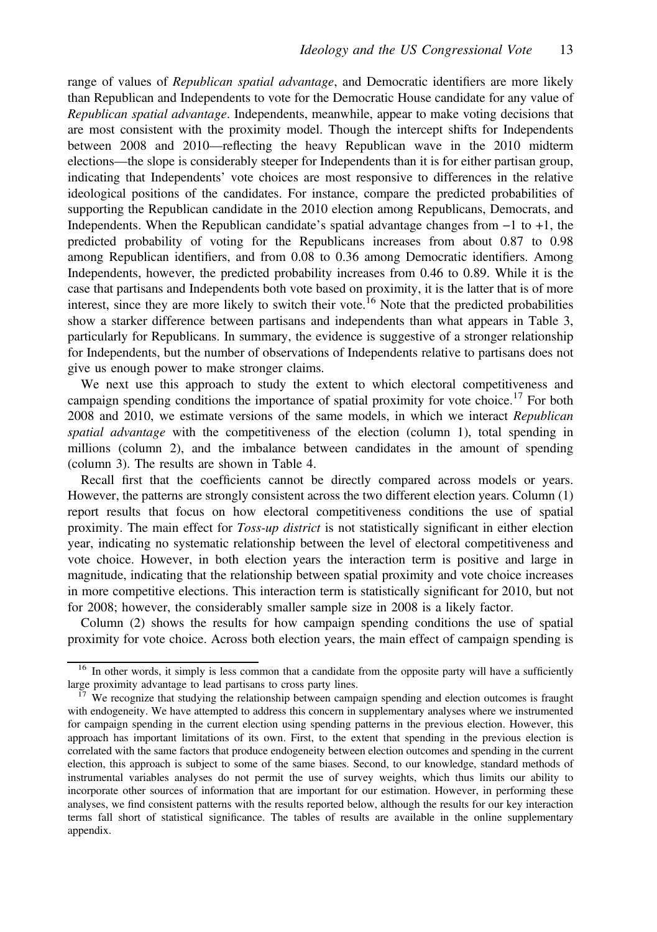range of values of *Republican spatial advantage*, and Democratic identifiers are more likely than Republican and Independents to vote for the Democratic House candidate for any value of Republican spatial advantage. Independents, meanwhile, appear to make voting decisions that are most consistent with the proximity model. Though the intercept shifts for Independents between 2008 and 2010—reflecting the heavy Republican wave in the 2010 midterm elections—the slope is considerably steeper for Independents than it is for either partisan group, indicating that Independents' vote choices are most responsive to differences in the relative ideological positions of the candidates. For instance, compare the predicted probabilities of supporting the Republican candidate in the 2010 election among Republicans, Democrats, and Independents. When the Republican candidate's spatial advantage changes from −1 to +1, the predicted probability of voting for the Republicans increases from about 0.87 to 0.98 among Republican identifiers, and from 0.08 to 0.36 among Democratic identifiers. Among Independents, however, the predicted probability increases from 0.46 to 0.89. While it is the case that partisans and Independents both vote based on proximity, it is the latter that is of more interest, since they are more likely to switch their vote.<sup>16</sup> Note that the predicted probabilities show a starker difference between partisans and independents than what appears in [Table 3](#page-12-0), particularly for Republicans. In summary, the evidence is suggestive of a stronger relationship for Independents, but the number of observations of Independents relative to partisans does not give us enough power to make stronger claims.

We next use this approach to study the extent to which electoral competitiveness and campaign spending conditions the importance of spatial proximity for vote choice.<sup>17</sup> For both 2008 and 2010, we estimate versions of the same models, in which we interact Republican spatial advantage with the competitiveness of the election (column 1), total spending in millions (column 2), and the imbalance between candidates in the amount of spending (column 3). The results are shown in [Table 4](#page-14-0).

Recall first that the coefficients cannot be directly compared across models or years. However, the patterns are strongly consistent across the two different election years. Column (1) report results that focus on how electoral competitiveness conditions the use of spatial proximity. The main effect for *Toss-up district* is not statistically significant in either election year, indicating no systematic relationship between the level of electoral competitiveness and vote choice. However, in both election years the interaction term is positive and large in magnitude, indicating that the relationship between spatial proximity and vote choice increases in more competitive elections. This interaction term is statistically significant for 2010, but not for 2008; however, the considerably smaller sample size in 2008 is a likely factor.

Column (2) shows the results for how campaign spending conditions the use of spatial proximity for vote choice. Across both election years, the main effect of campaign spending is

<sup>&</sup>lt;sup>16</sup> In other words, it simply is less common that a candidate from the opposite party will have a sufficiently large proximity advantage to lead partisans to cross party lines.<br><sup>17</sup> We recognize that studying the relationship between campaign spending and election outcomes is fraught

with endogeneity. We have attempted to address this concern in supplementary analyses where we instrumented for campaign spending in the current election using spending patterns in the previous election. However, this approach has important limitations of its own. First, to the extent that spending in the previous election is correlated with the same factors that produce endogeneity between election outcomes and spending in the current election, this approach is subject to some of the same biases. Second, to our knowledge, standard methods of instrumental variables analyses do not permit the use of survey weights, which thus limits our ability to incorporate other sources of information that are important for our estimation. However, in performing these analyses, we find consistent patterns with the results reported below, although the results for our key interaction terms fall short of statistical significance. The tables of results are available in the online supplementary appendix.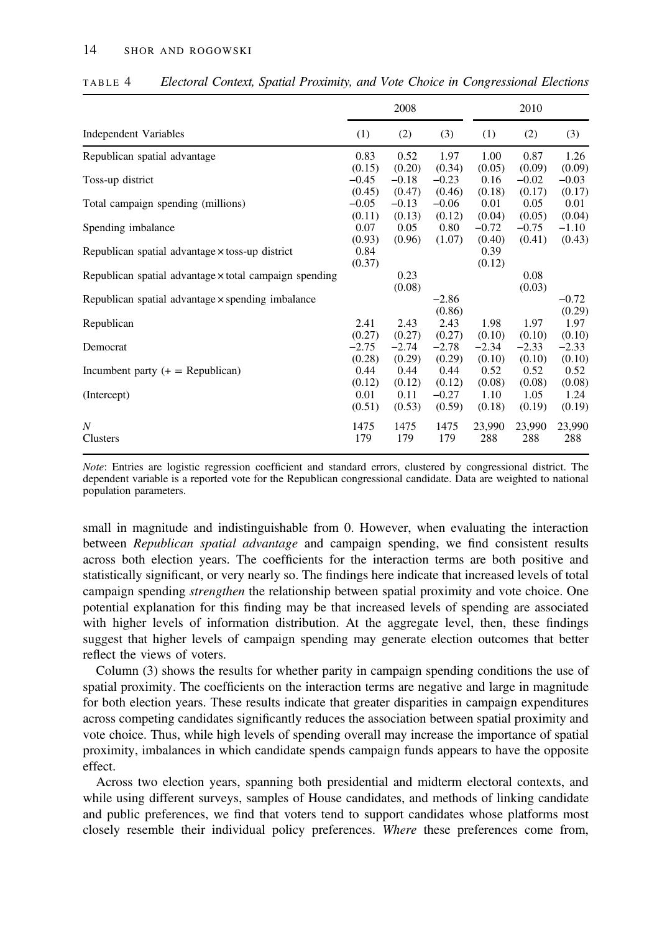|                                                          |                | 2008           |                   |                | 2010           |                   |
|----------------------------------------------------------|----------------|----------------|-------------------|----------------|----------------|-------------------|
| Independent Variables                                    | (1)            | (2)            | (3)               | (1)            | (2)            | (3)               |
| Republican spatial advantage                             | 0.83           | 0.52           | 1.97              | 1.00           | 0.87           | 1.26              |
|                                                          | (0.15)         | (0.20)         | (0.34)            | (0.05)         | (0.09)         | (0.09)            |
| Toss-up district                                         | $-0.45$        | $-0.18$        | $-0.23$           | 0.16           | $-0.02$        | $-0.03$           |
|                                                          | (0.45)         | (0.47)         | (0.46)            | (0.18)         | (0.17)         | (0.17)            |
| Total campaign spending (millions)                       | $-0.05$        | $-0.13$        | $-0.06$           | 0.01           | 0.05           | 0.01              |
|                                                          | (0.11)         | (0.13)         | (0.12)            | (0.04)         | (0.05)         | (0.04)            |
| Spending imbalance                                       | 0.07           | 0.05           | 0.80              | $-0.72$        | $-0.75$        | $-1.10$           |
|                                                          | (0.93)         | (0.96)         | (1.07)            | (0.40)         | (0.41)         | (0.43)            |
| Republican spatial advantage x toss-up district          | 0.84<br>(0.37) |                |                   | 0.39<br>(0.12) |                |                   |
| Republican spatial advantage x total campaign spending   |                | 0.23<br>(0.08) |                   |                | 0.08<br>(0.03) |                   |
| Republican spatial advantage $\times$ spending imbalance |                |                | $-2.86$<br>(0.86) |                |                | $-0.72$<br>(0.29) |
| Republican                                               | 2.41           | 2.43           | 2.43              | 1.98           | 1.97           | 1.97              |
|                                                          | (0.27)         | (0.27)         | (0.27)            | (0.10)         | (0.10)         | (0.10)            |
| Democrat                                                 | $-2.75$        | $-2.74$        | $-2.78$           | $-2.34$        | $-2.33$        | $-2.33$           |
|                                                          | (0.28)         | (0.29)         | (0.29)            | (0.10)         | (0.10)         | (0.10)            |
| Incumbent party $(+)$ = Republican)                      | 0.44           | 0.44           | 0.44              | 0.52           | 0.52           | 0.52              |
|                                                          | (0.12)         | (0.12)         | (0.12)            | (0.08)         | (0.08)         | (0.08)            |
| (Intercept)                                              | 0.01           | 0.11           | $-0.27$           | 1.10           | 1.05           | 1.24              |
|                                                          | (0.51)         | (0.53)         | (0.59)            | (0.18)         | (0.19)         | (0.19)            |
| N                                                        | 1475           | 1475           | 1475              | 23,990         | 23,990         | 23,990            |
| Clusters                                                 | 179            | 179            | 179               | 288            | 288            | 288               |

<span id="page-14-0"></span>TABLE 4 Electoral Context, Spatial Proximity, and Vote Choice in Congressional Elections

Note: Entries are logistic regression coefficient and standard errors, clustered by congressional district. The dependent variable is a reported vote for the Republican congressional candidate. Data are weighted to national population parameters.

small in magnitude and indistinguishable from 0. However, when evaluating the interaction between Republican spatial advantage and campaign spending, we find consistent results across both election years. The coefficients for the interaction terms are both positive and statistically significant, or very nearly so. The findings here indicate that increased levels of total campaign spending strengthen the relationship between spatial proximity and vote choice. One potential explanation for this finding may be that increased levels of spending are associated with higher levels of information distribution. At the aggregate level, then, these findings suggest that higher levels of campaign spending may generate election outcomes that better reflect the views of voters.

Column (3) shows the results for whether parity in campaign spending conditions the use of spatial proximity. The coefficients on the interaction terms are negative and large in magnitude for both election years. These results indicate that greater disparities in campaign expenditures across competing candidates significantly reduces the association between spatial proximity and vote choice. Thus, while high levels of spending overall may increase the importance of spatial proximity, imbalances in which candidate spends campaign funds appears to have the opposite effect.

Across two election years, spanning both presidential and midterm electoral contexts, and while using different surveys, samples of House candidates, and methods of linking candidate and public preferences, we find that voters tend to support candidates whose platforms most closely resemble their individual policy preferences. Where these preferences come from,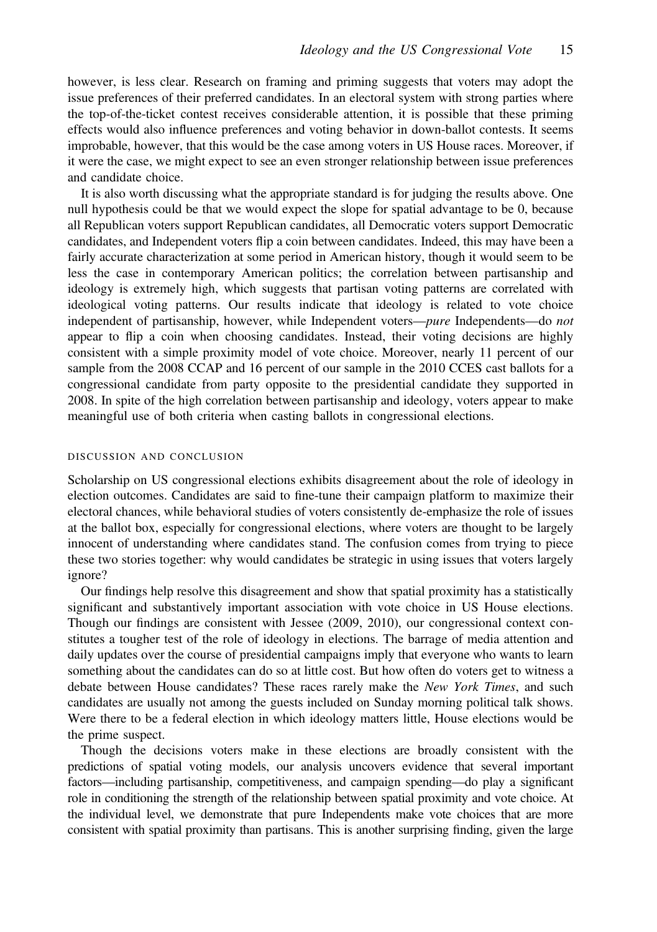however, is less clear. Research on framing and priming suggests that voters may adopt the issue preferences of their preferred candidates. In an electoral system with strong parties where the top-of-the-ticket contest receives considerable attention, it is possible that these priming effects would also influence preferences and voting behavior in down-ballot contests. It seems improbable, however, that this would be the case among voters in US House races. Moreover, if it were the case, we might expect to see an even stronger relationship between issue preferences and candidate choice.

It is also worth discussing what the appropriate standard is for judging the results above. One null hypothesis could be that we would expect the slope for spatial advantage to be 0, because all Republican voters support Republican candidates, all Democratic voters support Democratic candidates, and Independent voters flip a coin between candidates. Indeed, this may have been a fairly accurate characterization at some period in American history, though it would seem to be less the case in contemporary American politics; the correlation between partisanship and ideology is extremely high, which suggests that partisan voting patterns are correlated with ideological voting patterns. Our results indicate that ideology is related to vote choice independent of partisanship, however, while Independent voters—*pure* Independents—do not appear to flip a coin when choosing candidates. Instead, their voting decisions are highly consistent with a simple proximity model of vote choice. Moreover, nearly 11 percent of our sample from the 2008 CCAP and 16 percent of our sample in the 2010 CCES cast ballots for a congressional candidate from party opposite to the presidential candidate they supported in 2008. In spite of the high correlation between partisanship and ideology, voters appear to make meaningful use of both criteria when casting ballots in congressional elections.

#### DISCUSSION AND CONCLUSION

Scholarship on US congressional elections exhibits disagreement about the role of ideology in election outcomes. Candidates are said to fine-tune their campaign platform to maximize their electoral chances, while behavioral studies of voters consistently de-emphasize the role of issues at the ballot box, especially for congressional elections, where voters are thought to be largely innocent of understanding where candidates stand. The confusion comes from trying to piece these two stories together: why would candidates be strategic in using issues that voters largely ignore?

Our findings help resolve this disagreement and show that spatial proximity has a statistically significant and substantively important association with vote choice in US House elections. Though our findings are consistent with Jessee ([2009,](#page-18-0) [2010\)](#page-19-0), our congressional context constitutes a tougher test of the role of ideology in elections. The barrage of media attention and daily updates over the course of presidential campaigns imply that everyone who wants to learn something about the candidates can do so at little cost. But how often do voters get to witness a debate between House candidates? These races rarely make the New York Times, and such candidates are usually not among the guests included on Sunday morning political talk shows. Were there to be a federal election in which ideology matters little, House elections would be the prime suspect.

Though the decisions voters make in these elections are broadly consistent with the predictions of spatial voting models, our analysis uncovers evidence that several important factors—including partisanship, competitiveness, and campaign spending—do play a significant role in conditioning the strength of the relationship between spatial proximity and vote choice. At the individual level, we demonstrate that pure Independents make vote choices that are more consistent with spatial proximity than partisans. This is another surprising finding, given the large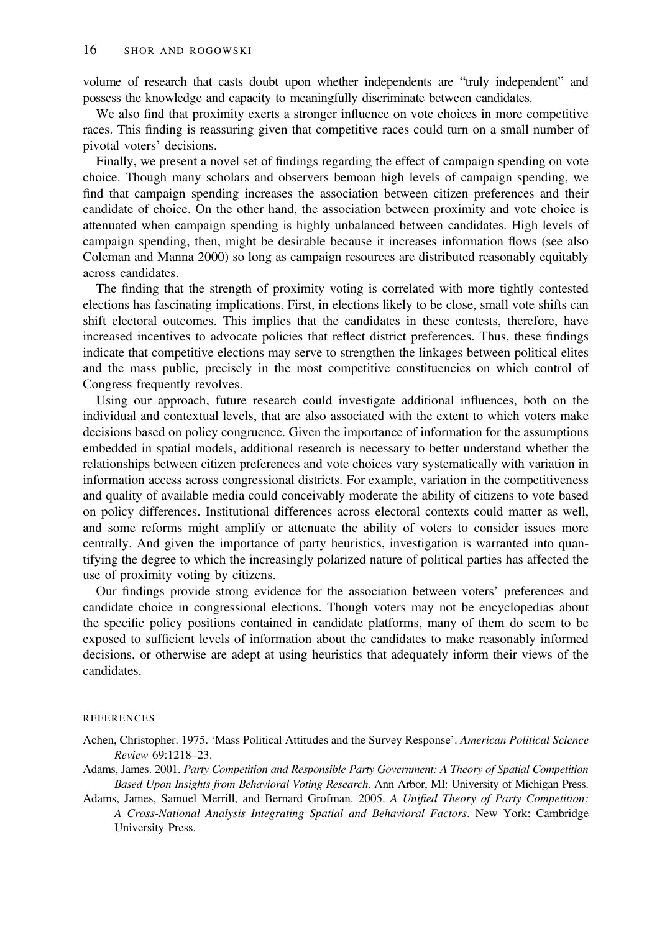<span id="page-16-0"></span>volume of research that casts doubt upon whether independents are "truly independent" and possess the knowledge and capacity to meaningfully discriminate between candidates.

We also find that proximity exerts a stronger influence on vote choices in more competitive races. This finding is reassuring given that competitive races could turn on a small number of pivotal voters' decisions.

Finally, we present a novel set of findings regarding the effect of campaign spending on vote choice. Though many scholars and observers bemoan high levels of campaign spending, we find that campaign spending increases the association between citizen preferences and their candidate of choice. On the other hand, the association between proximity and vote choice is attenuated when campaign spending is highly unbalanced between candidates. High levels of campaign spending, then, might be desirable because it increases information flows (see also Coleman and Manna [2000\)](#page-18-0) so long as campaign resources are distributed reasonably equitably across candidates.

The finding that the strength of proximity voting is correlated with more tightly contested elections has fascinating implications. First, in elections likely to be close, small vote shifts can shift electoral outcomes. This implies that the candidates in these contests, therefore, have increased incentives to advocate policies that reflect district preferences. Thus, these findings indicate that competitive elections may serve to strengthen the linkages between political elites and the mass public, precisely in the most competitive constituencies on which control of Congress frequently revolves.

Using our approach, future research could investigate additional influences, both on the individual and contextual levels, that are also associated with the extent to which voters make decisions based on policy congruence. Given the importance of information for the assumptions embedded in spatial models, additional research is necessary to better understand whether the relationships between citizen preferences and vote choices vary systematically with variation in information access across congressional districts. For example, variation in the competitiveness and quality of available media could conceivably moderate the ability of citizens to vote based on policy differences. Institutional differences across electoral contexts could matter as well, and some reforms might amplify or attenuate the ability of voters to consider issues more centrally. And given the importance of party heuristics, investigation is warranted into quantifying the degree to which the increasingly polarized nature of political parties has affected the use of proximity voting by citizens.

Our findings provide strong evidence for the association between voters' preferences and candidate choice in congressional elections. Though voters may not be encyclopedias about the specific policy positions contained in candidate platforms, many of them do seem to be exposed to sufficient levels of information about the candidates to make reasonably informed decisions, or otherwise are adept at using heuristics that adequately inform their views of the candidates.

#### REFERENCES

- Achen, Christopher. 1975. 'Mass Political Attitudes and the Survey Response'. American Political Science Review 69:1218–23.
- Adams, James. 2001. Party Competition and Responsible Party Government: A Theory of Spatial Competition Based Upon Insights from Behavioral Voting Research. Ann Arbor, MI: University of Michigan Press.
- Adams, James, Samuel Merrill, and Bernard Grofman. 2005. A Unified Theory of Party Competition: A Cross-National Analysis Integrating Spatial and Behavioral Factors. New York: Cambridge University Press.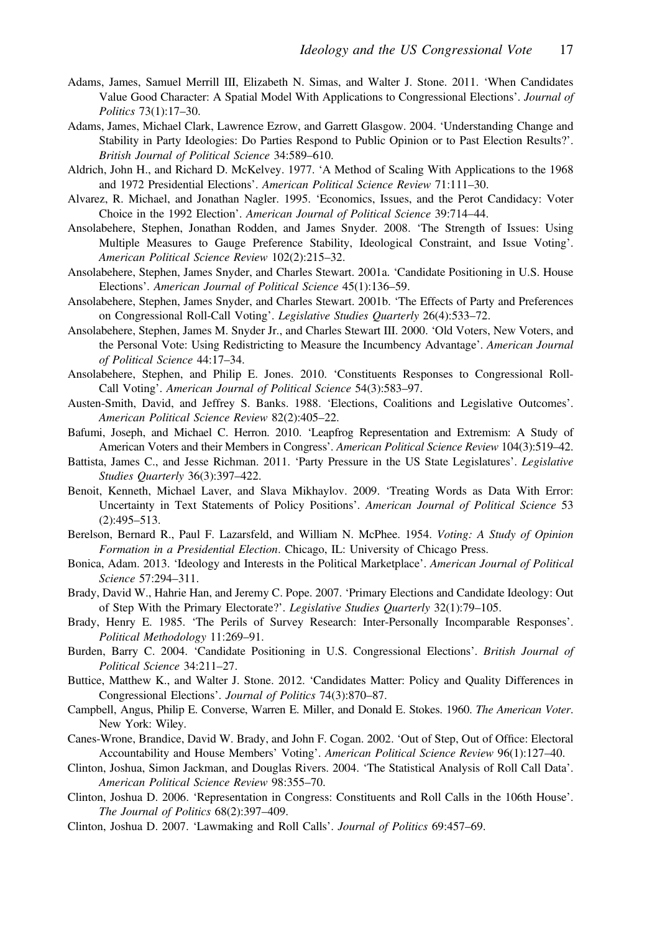- <span id="page-17-0"></span>Adams, James, Samuel Merrill III, Elizabeth N. Simas, and Walter J. Stone. 2011. 'When Candidates Value Good Character: A Spatial Model With Applications to Congressional Elections'. Journal of Politics 73(1):17–30.
- Adams, James, Michael Clark, Lawrence Ezrow, and Garrett Glasgow. 2004. 'Understanding Change and Stability in Party Ideologies: Do Parties Respond to Public Opinion or to Past Election Results?'. British Journal of Political Science 34:589–610.
- Aldrich, John H., and Richard D. McKelvey. 1977. 'A Method of Scaling With Applications to the 1968 and 1972 Presidential Elections'. American Political Science Review 71:111–30.
- Alvarez, R. Michael, and Jonathan Nagler. 1995. 'Economics, Issues, and the Perot Candidacy: Voter Choice in the 1992 Election'. American Journal of Political Science 39:714–44.
- Ansolabehere, Stephen, Jonathan Rodden, and James Snyder. 2008. 'The Strength of Issues: Using Multiple Measures to Gauge Preference Stability, Ideological Constraint, and Issue Voting'. American Political Science Review 102(2):215–32.
- Ansolabehere, Stephen, James Snyder, and Charles Stewart. 2001a. 'Candidate Positioning in U.S. House Elections'. American Journal of Political Science 45(1):136–59.
- Ansolabehere, Stephen, James Snyder, and Charles Stewart. 2001b. 'The Effects of Party and Preferences on Congressional Roll-Call Voting'. Legislative Studies Quarterly 26(4):533–72.
- Ansolabehere, Stephen, James M. Snyder Jr., and Charles Stewart III. 2000. 'Old Voters, New Voters, and the Personal Vote: Using Redistricting to Measure the Incumbency Advantage'. American Journal of Political Science 44:17–34.
- Ansolabehere, Stephen, and Philip E. Jones. 2010. 'Constituents Responses to Congressional Roll-Call Voting'. American Journal of Political Science 54(3):583–97.
- Austen-Smith, David, and Jeffrey S. Banks. 1988. 'Elections, Coalitions and Legislative Outcomes'. American Political Science Review 82(2):405–22.
- Bafumi, Joseph, and Michael C. Herron. 2010. 'Leapfrog Representation and Extremism: A Study of American Voters and their Members in Congress'. American Political Science Review 104(3):519–42.
- Battista, James C., and Jesse Richman. 2011. 'Party Pressure in the US State Legislatures'. Legislative Studies Quarterly 36(3):397–422.
- Benoit, Kenneth, Michael Laver, and Slava Mikhaylov. 2009. 'Treating Words as Data With Error: Uncertainty in Text Statements of Policy Positions'. American Journal of Political Science 53 (2):495–513.
- Berelson, Bernard R., Paul F. Lazarsfeld, and William N. McPhee. 1954. Voting: A Study of Opinion Formation in a Presidential Election. Chicago, IL: University of Chicago Press.
- Bonica, Adam. 2013. 'Ideology and Interests in the Political Marketplace'. American Journal of Political Science 57:294–311.
- Brady, David W., Hahrie Han, and Jeremy C. Pope. 2007. 'Primary Elections and Candidate Ideology: Out of Step With the Primary Electorate?'. Legislative Studies Quarterly 32(1):79–105.
- Brady, Henry E. 1985. 'The Perils of Survey Research: Inter-Personally Incomparable Responses'. Political Methodology 11:269–91.
- Burden, Barry C. 2004. 'Candidate Positioning in U.S. Congressional Elections'. British Journal of Political Science 34:211–27.
- Buttice, Matthew K., and Walter J. Stone. 2012. 'Candidates Matter: Policy and Quality Differences in Congressional Elections'. Journal of Politics 74(3):870–87.
- Campbell, Angus, Philip E. Converse, Warren E. Miller, and Donald E. Stokes. 1960. The American Voter. New York: Wiley.
- Canes-Wrone, Brandice, David W. Brady, and John F. Cogan. 2002. 'Out of Step, Out of Office: Electoral Accountability and House Members' Voting'. American Political Science Review 96(1):127–40.
- Clinton, Joshua, Simon Jackman, and Douglas Rivers. 2004. 'The Statistical Analysis of Roll Call Data'. American Political Science Review 98:355–70.
- Clinton, Joshua D. 2006. 'Representation in Congress: Constituents and Roll Calls in the 106th House'. The Journal of Politics 68(2):397–409.
- Clinton, Joshua D. 2007. 'Lawmaking and Roll Calls'. Journal of Politics 69:457–69.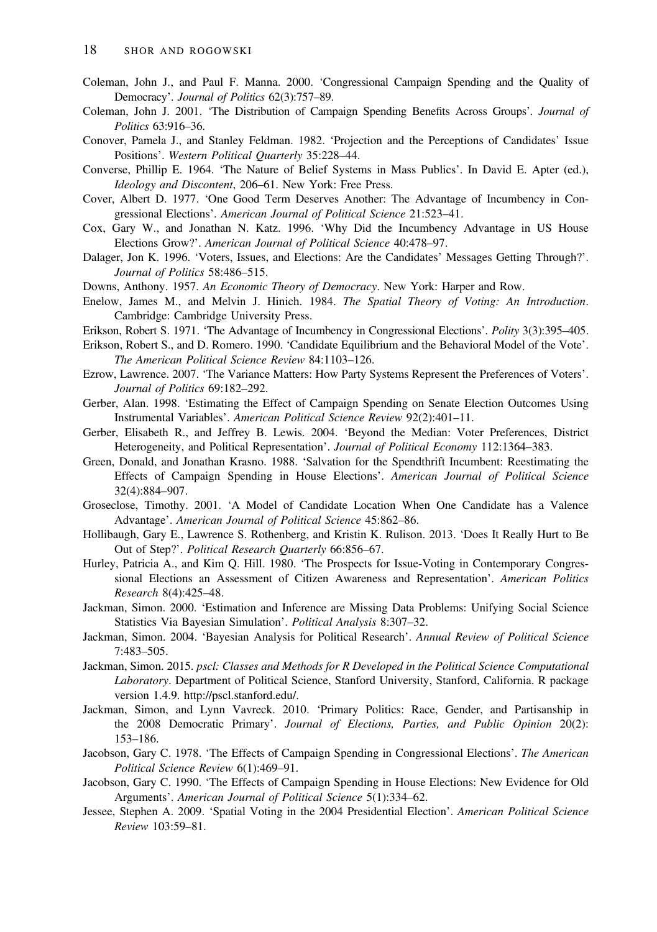- <span id="page-18-0"></span>Coleman, John J., and Paul F. Manna. 2000. 'Congressional Campaign Spending and the Quality of Democracy'. Journal of Politics 62(3):757–89.
- Coleman, John J. 2001. 'The Distribution of Campaign Spending Benefits Across Groups'. Journal of Politics 63:916–36.
- Conover, Pamela J., and Stanley Feldman. 1982. 'Projection and the Perceptions of Candidates' Issue Positions'. Western Political Quarterly 35:228–44.
- Converse, Phillip E. 1964. 'The Nature of Belief Systems in Mass Publics'. In David E. Apter (ed.), Ideology and Discontent, 206–61. New York: Free Press.
- Cover, Albert D. 1977. 'One Good Term Deserves Another: The Advantage of Incumbency in Congressional Elections'. American Journal of Political Science 21:523–41.
- Cox, Gary W., and Jonathan N. Katz. 1996. 'Why Did the Incumbency Advantage in US House Elections Grow?'. American Journal of Political Science 40:478–97.
- Dalager, Jon K. 1996. 'Voters, Issues, and Elections: Are the Candidates' Messages Getting Through?'. Journal of Politics 58:486–515.
- Downs, Anthony. 1957. An Economic Theory of Democracy. New York: Harper and Row.
- Enelow, James M., and Melvin J. Hinich. 1984. The Spatial Theory of Voting: An Introduction. Cambridge: Cambridge University Press.
- Erikson, Robert S. 1971. 'The Advantage of Incumbency in Congressional Elections'. Polity 3(3):395–405.
- Erikson, Robert S., and D. Romero. 1990. 'Candidate Equilibrium and the Behavioral Model of the Vote'. The American Political Science Review 84:1103–126.
- Ezrow, Lawrence. 2007. 'The Variance Matters: How Party Systems Represent the Preferences of Voters'. Journal of Politics 69:182–292.
- Gerber, Alan. 1998. 'Estimating the Effect of Campaign Spending on Senate Election Outcomes Using Instrumental Variables'. American Political Science Review 92(2):401–11.
- Gerber, Elisabeth R., and Jeffrey B. Lewis. 2004. 'Beyond the Median: Voter Preferences, District Heterogeneity, and Political Representation'. Journal of Political Economy 112:1364–383.
- Green, Donald, and Jonathan Krasno. 1988. 'Salvation for the Spendthrift Incumbent: Reestimating the Effects of Campaign Spending in House Elections'. American Journal of Political Science 32(4):884–907.
- Groseclose, Timothy. 2001. 'A Model of Candidate Location When One Candidate has a Valence Advantage'. American Journal of Political Science 45:862–86.
- Hollibaugh, Gary E., Lawrence S. Rothenberg, and Kristin K. Rulison. 2013. 'Does It Really Hurt to Be Out of Step?'. Political Research Quarterly 66:856–67.
- Hurley, Patricia A., and Kim Q. Hill. 1980. 'The Prospects for Issue-Voting in Contemporary Congressional Elections an Assessment of Citizen Awareness and Representation'. American Politics Research 8(4):425–48.
- Jackman, Simon. 2000. 'Estimation and Inference are Missing Data Problems: Unifying Social Science Statistics Via Bayesian Simulation'. Political Analysis 8:307–32.
- Jackman, Simon. 2004. 'Bayesian Analysis for Political Research'. Annual Review of Political Science 7:483–505.
- Jackman, Simon. 2015. pscl: Classes and Methods for R Developed in the Political Science Computational Laboratory. Department of Political Science, Stanford University, Stanford, California. R package version 1.4.9. http://pscl.stanford.edu/.
- Jackman, Simon, and Lynn Vavreck. 2010. 'Primary Politics: Race, Gender, and Partisanship in the 2008 Democratic Primary'. Journal of Elections, Parties, and Public Opinion 20(2): 153–186.
- Jacobson, Gary C. 1978. 'The Effects of Campaign Spending in Congressional Elections'. The American Political Science Review 6(1):469–91.
- Jacobson, Gary C. 1990. 'The Effects of Campaign Spending in House Elections: New Evidence for Old Arguments'. American Journal of Political Science 5(1):334–62.
- Jessee, Stephen A. 2009. 'Spatial Voting in the 2004 Presidential Election'. American Political Science Review 103:59–81.